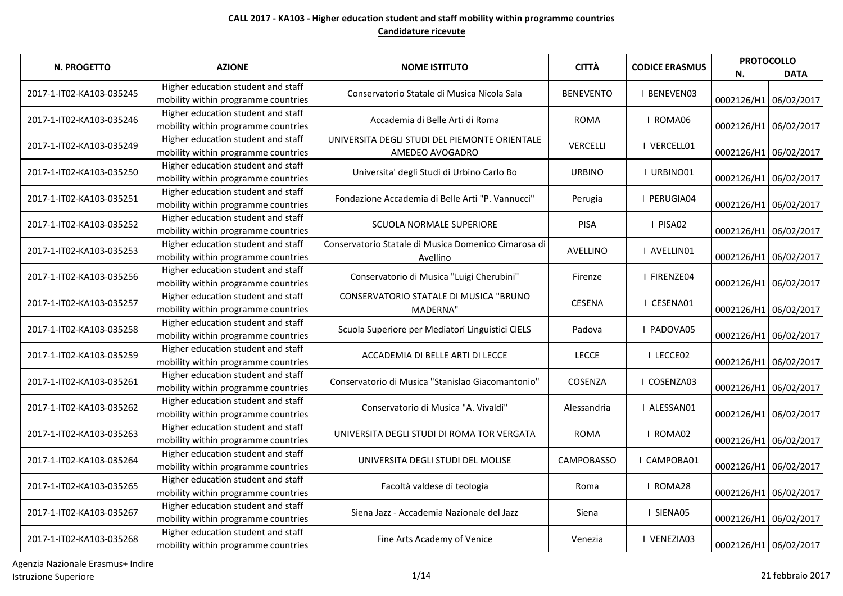| <b>N. PROGETTO</b>       | <b>AZIONE</b>                                                             | <b>NOME ISTITUTO</b>                                             | <b>CITTÀ</b>     | <b>CODICE ERASMUS</b> | <b>PROTOCOLLO</b><br>N. | <b>DATA</b> |
|--------------------------|---------------------------------------------------------------------------|------------------------------------------------------------------|------------------|-----------------------|-------------------------|-------------|
| 2017-1-IT02-KA103-035245 | Higher education student and staff<br>mobility within programme countries | Conservatorio Statale di Musica Nicola Sala                      | <b>BENEVENTO</b> | <b>I BENEVENO3</b>    | 0002126/H1 06/02/2017   |             |
| 2017-1-IT02-KA103-035246 | Higher education student and staff<br>mobility within programme countries | Accademia di Belle Arti di Roma                                  | <b>ROMA</b>      | I ROMA06              | 0002126/H1 06/02/2017   |             |
| 2017-1-IT02-KA103-035249 | Higher education student and staff<br>mobility within programme countries | UNIVERSITA DEGLI STUDI DEL PIEMONTE ORIENTALE<br>AMEDEO AVOGADRO | <b>VERCELLI</b>  | I VERCELL01           | 0002126/H1 06/02/2017   |             |
| 2017-1-IT02-KA103-035250 | Higher education student and staff<br>mobility within programme countries | Universita' degli Studi di Urbino Carlo Bo                       | <b>URBINO</b>    | I URBINO01            | 0002126/H1 06/02/2017   |             |
| 2017-1-IT02-KA103-035251 | Higher education student and staff<br>mobility within programme countries | Fondazione Accademia di Belle Arti "P. Vannucci"                 | Perugia          | I PERUGIA04           | 0002126/H1 06/02/2017   |             |
| 2017-1-IT02-KA103-035252 | Higher education student and staff<br>mobility within programme countries | SCUOLA NORMALE SUPERIORE                                         | PISA             | I PISA02              | 0002126/H1 06/02/2017   |             |
| 2017-1-IT02-KA103-035253 | Higher education student and staff<br>mobility within programme countries | Conservatorio Statale di Musica Domenico Cimarosa di<br>Avellino | AVELLINO         | I AVELLINO1           | 0002126/H1 06/02/2017   |             |
| 2017-1-IT02-KA103-035256 | Higher education student and staff<br>mobility within programme countries | Conservatorio di Musica "Luigi Cherubini"                        | Firenze          | I FIRENZE04           | 0002126/H1 06/02/2017   |             |
| 2017-1-IT02-KA103-035257 | Higher education student and staff<br>mobility within programme countries | CONSERVATORIO STATALE DI MUSICA "BRUNO<br>MADERNA"               | <b>CESENA</b>    | I CESENA01            | 0002126/H1 06/02/2017   |             |
| 2017-1-IT02-KA103-035258 | Higher education student and staff<br>mobility within programme countries | Scuola Superiore per Mediatori Linguistici CIELS                 | Padova           | I PADOVA05            | 0002126/H1 06/02/2017   |             |
| 2017-1-IT02-KA103-035259 | Higher education student and staff<br>mobility within programme countries | ACCADEMIA DI BELLE ARTI DI LECCE                                 | <b>LECCE</b>     | I LECCE02             | 0002126/H1 06/02/2017   |             |
| 2017-1-IT02-KA103-035261 | Higher education student and staff<br>mobility within programme countries | Conservatorio di Musica "Stanislao Giacomantonio"                | COSENZA          | I COSENZA03           | 0002126/H1 06/02/2017   |             |
| 2017-1-IT02-KA103-035262 | Higher education student and staff<br>mobility within programme countries | Conservatorio di Musica "A. Vivaldi"                             | Alessandria      | I ALESSAN01           | 0002126/H1 06/02/2017   |             |
| 2017-1-IT02-KA103-035263 | Higher education student and staff<br>mobility within programme countries | UNIVERSITA DEGLI STUDI DI ROMA TOR VERGATA                       | <b>ROMA</b>      | I ROMA02              | 0002126/H1 06/02/2017   |             |
| 2017-1-IT02-KA103-035264 | Higher education student and staff<br>mobility within programme countries | UNIVERSITA DEGLI STUDI DEL MOLISE                                | CAMPOBASSO       | I CAMPOBA01           | 0002126/H1 06/02/2017   |             |
| 2017-1-IT02-KA103-035265 | Higher education student and staff<br>mobility within programme countries | Facoltà valdese di teologia                                      | Roma             | I ROMA28              | 0002126/H1 06/02/2017   |             |
| 2017-1-IT02-KA103-035267 | Higher education student and staff<br>mobility within programme countries | Siena Jazz - Accademia Nazionale del Jazz                        | Siena            | I SIENA05             | 0002126/H1 06/02/2017   |             |
| 2017-1-IT02-KA103-035268 | Higher education student and staff<br>mobility within programme countries | Fine Arts Academy of Venice                                      | Venezia          | I VENEZIA03           | 0002126/H1 06/02/2017   |             |

Agenzia Nazionale Erasmus+ Indire Istruzione Superiore 21 febbraio 2017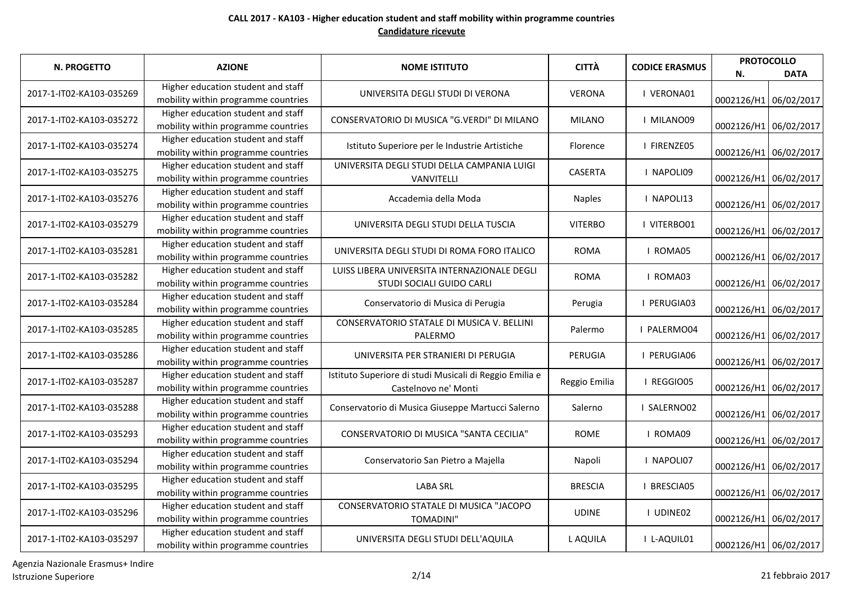| N. PROGETTO              | <b>AZIONE</b>                                                             | <b>NOME ISTITUTO</b>                                                            | <b>CITTÀ</b>   | <b>CODICE ERASMUS</b> | N.                    | <b>PROTOCOLLO</b><br><b>DATA</b> |
|--------------------------|---------------------------------------------------------------------------|---------------------------------------------------------------------------------|----------------|-----------------------|-----------------------|----------------------------------|
| 2017-1-IT02-KA103-035269 | Higher education student and staff<br>mobility within programme countries | UNIVERSITA DEGLI STUDI DI VERONA                                                | <b>VERONA</b>  | I VERONA01            | 0002126/H1 06/02/2017 |                                  |
| 2017-1-IT02-KA103-035272 | Higher education student and staff<br>mobility within programme countries | CONSERVATORIO DI MUSICA "G.VERDI" DI MILANO                                     | <b>MILANO</b>  | I MILANO09            |                       | 0002126/H1 06/02/2017            |
| 2017-1-IT02-KA103-035274 | Higher education student and staff<br>mobility within programme countries | Istituto Superiore per le Industrie Artistiche                                  | Florence       | I FIRENZE05           | 0002126/H1 06/02/2017 |                                  |
| 2017-1-IT02-KA103-035275 | Higher education student and staff<br>mobility within programme countries | UNIVERSITA DEGLI STUDI DELLA CAMPANIA LUIGI<br><b>VANVITELLI</b>                | <b>CASERTA</b> | I NAPOLI09            |                       | 0002126/H1 06/02/2017            |
| 2017-1-IT02-KA103-035276 | Higher education student and staff<br>mobility within programme countries | Accademia della Moda                                                            | <b>Naples</b>  | I NAPOLI13            |                       | 0002126/H1 06/02/2017            |
| 2017-1-IT02-KA103-035279 | Higher education student and staff<br>mobility within programme countries | UNIVERSITA DEGLI STUDI DELLA TUSCIA                                             | <b>VITERBO</b> | I VITERBO01           | 0002126/H1 06/02/2017 |                                  |
| 2017-1-IT02-KA103-035281 | Higher education student and staff<br>mobility within programme countries | UNIVERSITA DEGLI STUDI DI ROMA FORO ITALICO                                     | <b>ROMA</b>    | I ROMA05              |                       | 0002126/H1 06/02/2017            |
| 2017-1-IT02-KA103-035282 | Higher education student and staff<br>mobility within programme countries | LUISS LIBERA UNIVERSITA INTERNAZIONALE DEGLI<br>STUDI SOCIALI GUIDO CARLI       | <b>ROMA</b>    | I ROMA03              | 0002126/H1 06/02/2017 |                                  |
| 2017-1-IT02-KA103-035284 | Higher education student and staff<br>mobility within programme countries | Conservatorio di Musica di Perugia                                              | Perugia        | I PERUGIA03           | 0002126/H1 06/02/2017 |                                  |
| 2017-1-IT02-KA103-035285 | Higher education student and staff<br>mobility within programme countries | CONSERVATORIO STATALE DI MUSICA V. BELLINI<br>PALERMO                           | Palermo        | I PALERMO04           | 0002126/H1 06/02/2017 |                                  |
| 2017-1-IT02-KA103-035286 | Higher education student and staff<br>mobility within programme countries | UNIVERSITA PER STRANIERI DI PERUGIA                                             | PERUGIA        | I PERUGIA06           |                       | 0002126/H1 06/02/2017            |
| 2017-1-IT02-KA103-035287 | Higher education student and staff<br>mobility within programme countries | Istituto Superiore di studi Musicali di Reggio Emilia e<br>Castelnovo ne' Monti | Reggio Emilia  | I REGGIO05            | 0002126/H1 06/02/2017 |                                  |
| 2017-1-IT02-KA103-035288 | Higher education student and staff<br>mobility within programme countries | Conservatorio di Musica Giuseppe Martucci Salerno                               | Salerno        | I SALERNO02           |                       | 0002126/H1 06/02/2017            |
| 2017-1-IT02-KA103-035293 | Higher education student and staff<br>mobility within programme countries | CONSERVATORIO DI MUSICA "SANTA CECILIA"                                         | <b>ROME</b>    | I ROMA09              | 0002126/H1 06/02/2017 |                                  |
| 2017-1-IT02-KA103-035294 | Higher education student and staff<br>mobility within programme countries | Conservatorio San Pietro a Majella                                              | Napoli         | I NAPOLI07            | 0002126/H1 06/02/2017 |                                  |
| 2017-1-IT02-KA103-035295 | Higher education student and staff<br>mobility within programme countries | <b>LABA SRL</b>                                                                 | <b>BRESCIA</b> | I BRESCIA05           | 0002126/H1 06/02/2017 |                                  |
| 2017-1-IT02-KA103-035296 | Higher education student and staff<br>mobility within programme countries | CONSERVATORIO STATALE DI MUSICA "JACOPO<br><b>TOMADINI"</b>                     | <b>UDINE</b>   | I UDINE02             | 0002126/H1 06/02/2017 |                                  |
| 2017-1-IT02-KA103-035297 | Higher education student and staff<br>mobility within programme countries | UNIVERSITA DEGLI STUDI DELL'AQUILA                                              | L AQUILA       | I L-AQUIL01           | 0002126/H1 06/02/2017 |                                  |

Agenzia Nazionale Erasmus+ Indire Istruzione Superiore 2/14 21 febbraio 2017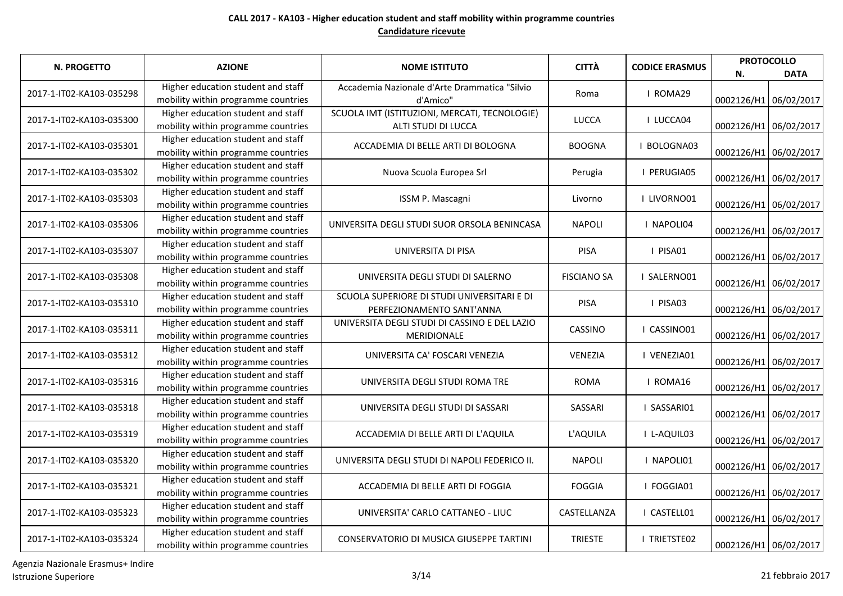| <b>N. PROGETTO</b>       | <b>AZIONE</b>                                                             | <b>NOME ISTITUTO</b>                                                     | <b>CITTÀ</b>       | <b>CODICE ERASMUS</b> | N.                    | <b>PROTOCOLLO</b><br><b>DATA</b> |
|--------------------------|---------------------------------------------------------------------------|--------------------------------------------------------------------------|--------------------|-----------------------|-----------------------|----------------------------------|
| 2017-1-IT02-KA103-035298 | Higher education student and staff<br>mobility within programme countries | Accademia Nazionale d'Arte Drammatica "Silvio<br>d'Amico"                | Roma               | I ROMA29              | 0002126/H1 06/02/2017 |                                  |
| 2017-1-IT02-KA103-035300 | Higher education student and staff<br>mobility within programme countries | SCUOLA IMT (ISTITUZIONI, MERCATI, TECNOLOGIE)<br>ALTI STUDI DI LUCCA     | <b>LUCCA</b>       | I LUCCA04             |                       | 0002126/H1 06/02/2017            |
| 2017-1-IT02-KA103-035301 | Higher education student and staff<br>mobility within programme countries | ACCADEMIA DI BELLE ARTI DI BOLOGNA                                       | <b>BOOGNA</b>      | I BOLOGNA03           |                       | 0002126/H1 06/02/2017            |
| 2017-1-IT02-KA103-035302 | Higher education student and staff<br>mobility within programme countries | Nuova Scuola Europea Srl                                                 | Perugia            | I PERUGIA05           |                       | 0002126/H1 06/02/2017            |
| 2017-1-IT02-KA103-035303 | Higher education student and staff<br>mobility within programme countries | ISSM P. Mascagni                                                         | Livorno            | I LIVORNO01           | 0002126/H1 06/02/2017 |                                  |
| 2017-1-IT02-KA103-035306 | Higher education student and staff<br>mobility within programme countries | UNIVERSITA DEGLI STUDI SUOR ORSOLA BENINCASA                             | <b>NAPOLI</b>      | I NAPOLI04            | 0002126/H1 06/02/2017 |                                  |
| 2017-1-IT02-KA103-035307 | Higher education student and staff<br>mobility within programme countries | UNIVERSITA DI PISA                                                       | PISA               | I PISA01              | 0002126/H1 06/02/2017 |                                  |
| 2017-1-IT02-KA103-035308 | Higher education student and staff<br>mobility within programme countries | UNIVERSITA DEGLI STUDI DI SALERNO                                        | <b>FISCIANO SA</b> | I SALERNO01           |                       | 0002126/H1 06/02/2017            |
| 2017-1-IT02-KA103-035310 | Higher education student and staff<br>mobility within programme countries | SCUOLA SUPERIORE DI STUDI UNIVERSITARI E DI<br>PERFEZIONAMENTO SANT'ANNA | <b>PISA</b>        | I PISA03              | 0002126/H1 06/02/2017 |                                  |
| 2017-1-IT02-KA103-035311 | Higher education student and staff<br>mobility within programme countries | UNIVERSITA DEGLI STUDI DI CASSINO E DEL LAZIO<br>MERIDIONALE             | CASSINO            | I CASSINO01           | 0002126/H1 06/02/2017 |                                  |
| 2017-1-IT02-KA103-035312 | Higher education student and staff<br>mobility within programme countries | UNIVERSITA CA' FOSCARI VENEZIA                                           | VENEZIA            | I VENEZIA01           | 0002126/H1 06/02/2017 |                                  |
| 2017-1-IT02-KA103-035316 | Higher education student and staff<br>mobility within programme countries | UNIVERSITA DEGLI STUDI ROMA TRE                                          | <b>ROMA</b>        | I ROMA16              | 0002126/H1 06/02/2017 |                                  |
| 2017-1-IT02-KA103-035318 | Higher education student and staff<br>mobility within programme countries | UNIVERSITA DEGLI STUDI DI SASSARI                                        | SASSARI            | I SASSARI01           |                       | 0002126/H1 06/02/2017            |
| 2017-1-IT02-KA103-035319 | Higher education student and staff<br>mobility within programme countries | ACCADEMIA DI BELLE ARTI DI L'AQUILA                                      | L'AQUILA           | I L-AQUIL03           |                       | 0002126/H1 06/02/2017            |
| 2017-1-IT02-KA103-035320 | Higher education student and staff<br>mobility within programme countries | UNIVERSITA DEGLI STUDI DI NAPOLI FEDERICO II.                            | <b>NAPOLI</b>      | I NAPOLI01            |                       | 0002126/H1 06/02/2017            |
| 2017-1-IT02-KA103-035321 | Higher education student and staff<br>mobility within programme countries | ACCADEMIA DI BELLE ARTI DI FOGGIA                                        | <b>FOGGIA</b>      | I FOGGIA01            | 0002126/H1 06/02/2017 |                                  |
| 2017-1-IT02-KA103-035323 | Higher education student and staff<br>mobility within programme countries | UNIVERSITA' CARLO CATTANEO - LIUC                                        | CASTELLANZA        | I CASTELL01           | 0002126/H1 06/02/2017 |                                  |
| 2017-1-IT02-KA103-035324 | Higher education student and staff<br>mobility within programme countries | CONSERVATORIO DI MUSICA GIUSEPPE TARTINI                                 | <b>TRIESTE</b>     | I TRIETSTE02          | 0002126/H1 06/02/2017 |                                  |

Agenzia Nazionale Erasmus+ Indire Istruzione Superiore 3/14 21 febbraio 2017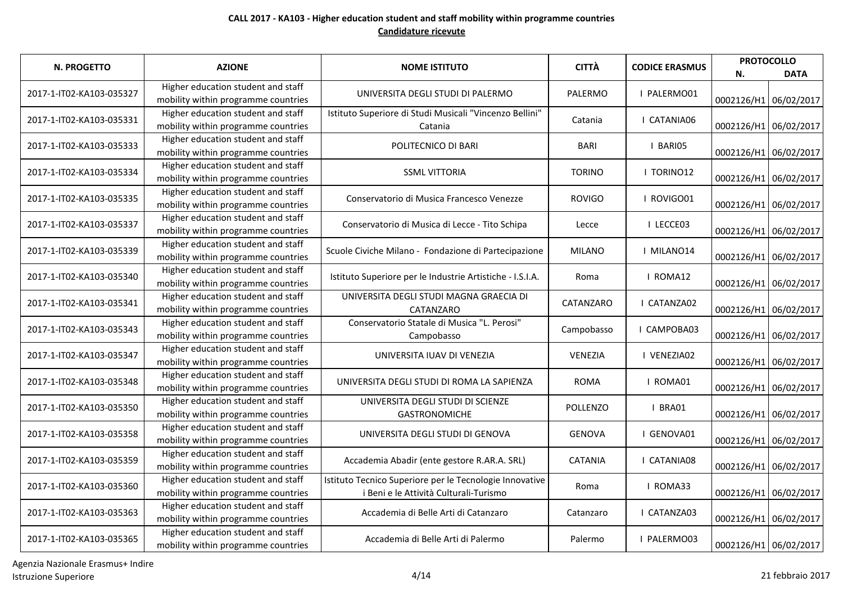| N. PROGETTO              | <b>AZIONE</b>                                                             | <b>NOME ISTITUTO</b>                                                                              | <b>CITTÀ</b>    | <b>CODICE ERASMUS</b> | <b>PROTOCOLLO</b><br>N. | <b>DATA</b> |
|--------------------------|---------------------------------------------------------------------------|---------------------------------------------------------------------------------------------------|-----------------|-----------------------|-------------------------|-------------|
| 2017-1-IT02-KA103-035327 | Higher education student and staff<br>mobility within programme countries | UNIVERSITA DEGLI STUDI DI PALERMO                                                                 | PALERMO         | I PALERMO01           | 0002126/H1 06/02/2017   |             |
| 2017-1-IT02-KA103-035331 | Higher education student and staff<br>mobility within programme countries | Istituto Superiore di Studi Musicali "Vincenzo Bellini"<br>Catania                                | Catania         | I CATANIA06           | 0002126/H1 06/02/2017   |             |
| 2017-1-IT02-KA103-035333 | Higher education student and staff<br>mobility within programme countries | POLITECNICO DI BARI                                                                               | <b>BARI</b>     | I BARIO5              | 0002126/H1 06/02/2017   |             |
| 2017-1-IT02-KA103-035334 | Higher education student and staff<br>mobility within programme countries | <b>SSML VITTORIA</b>                                                                              | <b>TORINO</b>   | I TORINO12            | 0002126/H1 06/02/2017   |             |
| 2017-1-IT02-KA103-035335 | Higher education student and staff<br>mobility within programme countries | Conservatorio di Musica Francesco Venezze                                                         | <b>ROVIGO</b>   | I ROVIGO01            | 0002126/H1 06/02/2017   |             |
| 2017-1-IT02-KA103-035337 | Higher education student and staff<br>mobility within programme countries | Conservatorio di Musica di Lecce - Tito Schipa                                                    | Lecce           | I LECCE03             | 0002126/H1 06/02/2017   |             |
| 2017-1-IT02-KA103-035339 | Higher education student and staff<br>mobility within programme countries | Scuole Civiche Milano - Fondazione di Partecipazione                                              | <b>MILANO</b>   | I MILANO14            | 0002126/H1 06/02/2017   |             |
| 2017-1-IT02-KA103-035340 | Higher education student and staff<br>mobility within programme countries | Istituto Superiore per le Industrie Artistiche - I.S.I.A.                                         | Roma            | I ROMA12              | 0002126/H1 06/02/2017   |             |
| 2017-1-IT02-KA103-035341 | Higher education student and staff<br>mobility within programme countries | UNIVERSITA DEGLI STUDI MAGNA GRAECIA DI<br>CATANZARO                                              | CATANZARO       | I CATANZA02           | 0002126/H1 06/02/2017   |             |
| 2017-1-IT02-KA103-035343 | Higher education student and staff<br>mobility within programme countries | Conservatorio Statale di Musica "L. Perosi"<br>Campobasso                                         | Campobasso      | I CAMPOBA03           | 0002126/H1 06/02/2017   |             |
| 2017-1-IT02-KA103-035347 | Higher education student and staff<br>mobility within programme countries | UNIVERSITA IUAV DI VENEZIA                                                                        | VENEZIA         | I VENEZIA02           | 0002126/H1 06/02/2017   |             |
| 2017-1-IT02-KA103-035348 | Higher education student and staff<br>mobility within programme countries | UNIVERSITA DEGLI STUDI DI ROMA LA SAPIENZA                                                        | <b>ROMA</b>     | I ROMA01              | 0002126/H1 06/02/2017   |             |
| 2017-1-IT02-KA103-035350 | Higher education student and staff<br>mobility within programme countries | UNIVERSITA DEGLI STUDI DI SCIENZE<br><b>GASTRONOMICHE</b>                                         | <b>POLLENZO</b> | I BRA01               | 0002126/H1 06/02/2017   |             |
| 2017-1-IT02-KA103-035358 | Higher education student and staff<br>mobility within programme countries | UNIVERSITA DEGLI STUDI DI GENOVA                                                                  | <b>GENOVA</b>   | I GENOVA01            | 0002126/H1 06/02/2017   |             |
| 2017-1-IT02-KA103-035359 | Higher education student and staff<br>mobility within programme countries | Accademia Abadir (ente gestore R.AR.A. SRL)                                                       | CATANIA         | I CATANIA08           | 0002126/H1 06/02/2017   |             |
| 2017-1-IT02-KA103-035360 | Higher education student and staff<br>mobility within programme countries | Istituto Tecnico Superiore per le Tecnologie Innovative<br>i Beni e le Attività Culturali-Turismo | Roma            | I ROMA33              | 0002126/H1 06/02/2017   |             |
| 2017-1-IT02-KA103-035363 | Higher education student and staff<br>mobility within programme countries | Accademia di Belle Arti di Catanzaro                                                              | Catanzaro       | I CATANZA03           | 0002126/H1 06/02/2017   |             |
| 2017-1-IT02-KA103-035365 | Higher education student and staff<br>mobility within programme countries | Accademia di Belle Arti di Palermo                                                                | Palermo         | I PALERMO03           | 0002126/H1 06/02/2017   |             |

Agenzia Nazionale Erasmus+ Indire Istruzione Superiore 4/14 21 febbraio 2017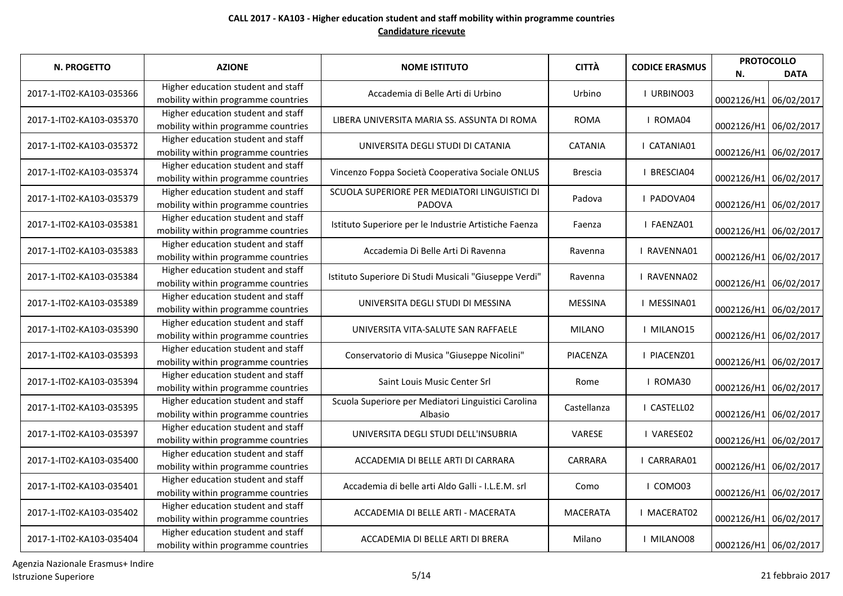| <b>N. PROGETTO</b>       | <b>AZIONE</b>                                                             | <b>NOME ISTITUTO</b>                                           | <b>CITTÀ</b>    | <b>CODICE ERASMUS</b> | <b>PROTOCOLLO</b><br>N. | <b>DATA</b> |
|--------------------------|---------------------------------------------------------------------------|----------------------------------------------------------------|-----------------|-----------------------|-------------------------|-------------|
| 2017-1-IT02-KA103-035366 | Higher education student and staff<br>mobility within programme countries | Accademia di Belle Arti di Urbino                              | Urbino          | I URBINO03            | 0002126/H1 06/02/2017   |             |
| 2017-1-IT02-KA103-035370 | Higher education student and staff<br>mobility within programme countries | LIBERA UNIVERSITA MARIA SS. ASSUNTA DI ROMA                    | <b>ROMA</b>     | I ROMA04              | 0002126/H1 06/02/2017   |             |
| 2017-1-IT02-KA103-035372 | Higher education student and staff<br>mobility within programme countries | UNIVERSITA DEGLI STUDI DI CATANIA                              | <b>CATANIA</b>  | I CATANIA01           | 0002126/H1 06/02/2017   |             |
| 2017-1-IT02-KA103-035374 | Higher education student and staff<br>mobility within programme countries | Vincenzo Foppa Società Cooperativa Sociale ONLUS               | Brescia         | I BRESCIA04           | 0002126/H1 06/02/2017   |             |
| 2017-1-IT02-KA103-035379 | Higher education student and staff<br>mobility within programme countries | SCUOLA SUPERIORE PER MEDIATORI LINGUISTICI DI<br>PADOVA        | Padova          | I PADOVA04            | 0002126/H1 06/02/2017   |             |
| 2017-1-IT02-KA103-035381 | Higher education student and staff<br>mobility within programme countries | Istituto Superiore per le Industrie Artistiche Faenza          | Faenza          | I FAENZA01            | 0002126/H1 06/02/2017   |             |
| 2017-1-IT02-KA103-035383 | Higher education student and staff<br>mobility within programme countries | Accademia Di Belle Arti Di Ravenna                             | Ravenna         | <b>I RAVENNA01</b>    | 0002126/H1 06/02/2017   |             |
| 2017-1-IT02-KA103-035384 | Higher education student and staff<br>mobility within programme countries | Istituto Superiore Di Studi Musicali "Giuseppe Verdi"          | Ravenna         | <b>I RAVENNA02</b>    | 0002126/H1 06/02/2017   |             |
| 2017-1-IT02-KA103-035389 | Higher education student and staff<br>mobility within programme countries | UNIVERSITA DEGLI STUDI DI MESSINA                              | <b>MESSINA</b>  | I MESSINA01           | 0002126/H1 06/02/2017   |             |
| 2017-1-IT02-KA103-035390 | Higher education student and staff<br>mobility within programme countries | UNIVERSITA VITA-SALUTE SAN RAFFAELE                            | <b>MILANO</b>   | I MILANO15            | 0002126/H1 06/02/2017   |             |
| 2017-1-IT02-KA103-035393 | Higher education student and staff<br>mobility within programme countries | Conservatorio di Musica "Giuseppe Nicolini"                    | PIACENZA        | I PIACENZ01           | 0002126/H1 06/02/2017   |             |
| 2017-1-IT02-KA103-035394 | Higher education student and staff<br>mobility within programme countries | Saint Louis Music Center Srl                                   | Rome            | I ROMA30              | 0002126/H1 06/02/2017   |             |
| 2017-1-IT02-KA103-035395 | Higher education student and staff<br>mobility within programme countries | Scuola Superiore per Mediatori Linguistici Carolina<br>Albasio | Castellanza     | I CASTELL02           | 0002126/H1 06/02/2017   |             |
| 2017-1-IT02-KA103-035397 | Higher education student and staff<br>mobility within programme countries | UNIVERSITA DEGLI STUDI DELL'INSUBRIA                           | <b>VARESE</b>   | I VARESE02            | 0002126/H1 06/02/2017   |             |
| 2017-1-IT02-KA103-035400 | Higher education student and staff<br>mobility within programme countries | ACCADEMIA DI BELLE ARTI DI CARRARA                             | CARRARA         | I CARRARA01           | 0002126/H1 06/02/2017   |             |
| 2017-1-IT02-KA103-035401 | Higher education student and staff<br>mobility within programme countries | Accademia di belle arti Aldo Galli - I.L.E.M. srl              | Como            | I COMO03              | 0002126/H1 06/02/2017   |             |
| 2017-1-IT02-KA103-035402 | Higher education student and staff<br>mobility within programme countries | ACCADEMIA DI BELLE ARTI - MACERATA                             | <b>MACERATA</b> | I MACERAT02           | 0002126/H1 06/02/2017   |             |
| 2017-1-IT02-KA103-035404 | Higher education student and staff<br>mobility within programme countries | ACCADEMIA DI BELLE ARTI DI BRERA                               | Milano          | I MILANO08            | 0002126/H1 06/02/2017   |             |

Agenzia Nazionale Erasmus+ Indire Istruzione Superiore 21 febbraio 2017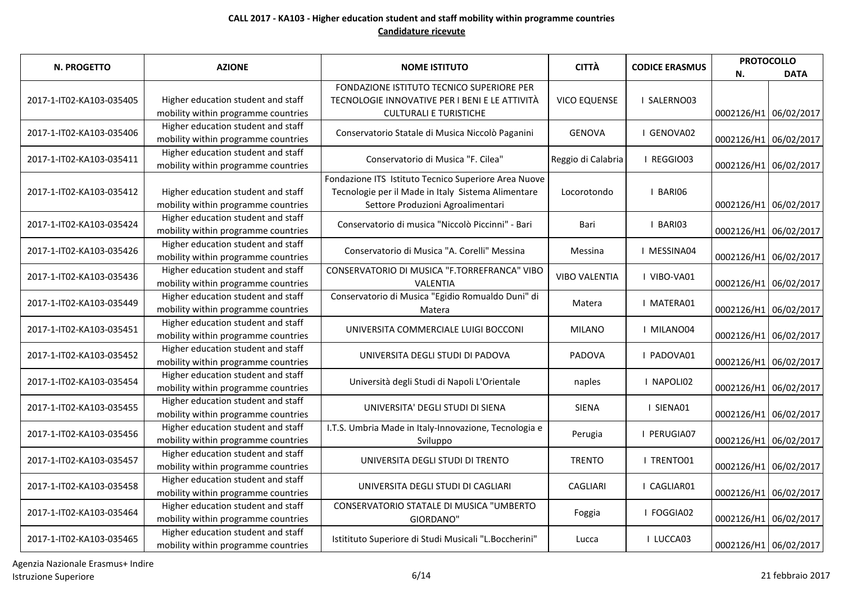| <b>N. PROGETTO</b>       | <b>AZIONE</b>                                                             | <b>NOME ISTITUTO</b>                                                                        | <b>CITTÀ</b>         | <b>CODICE ERASMUS</b> | <b>PROTOCOLLO</b>     |             |
|--------------------------|---------------------------------------------------------------------------|---------------------------------------------------------------------------------------------|----------------------|-----------------------|-----------------------|-------------|
|                          |                                                                           |                                                                                             |                      |                       | N.                    | <b>DATA</b> |
| 2017-1-IT02-KA103-035405 | Higher education student and staff                                        | FONDAZIONE ISTITUTO TECNICO SUPERIORE PER<br>TECNOLOGIE INNOVATIVE PER I BENI E LE ATTIVITÀ | <b>VICO EQUENSE</b>  | I SALERNO03           |                       |             |
|                          | mobility within programme countries                                       | <b>CULTURALI E TURISTICHE</b>                                                               |                      |                       | 0002126/H1 06/02/2017 |             |
| 2017-1-IT02-KA103-035406 | Higher education student and staff<br>mobility within programme countries | Conservatorio Statale di Musica Niccolò Paganini                                            | <b>GENOVA</b>        | I GENOVA02            | 0002126/H1 06/02/2017 |             |
| 2017-1-IT02-KA103-035411 | Higher education student and staff<br>mobility within programme countries | Conservatorio di Musica "F. Cilea"                                                          | Reggio di Calabria   | I REGGIO03            | 0002126/H1 06/02/2017 |             |
|                          |                                                                           | Fondazione ITS Istituto Tecnico Superiore Area Nuove                                        |                      |                       |                       |             |
| 2017-1-IT02-KA103-035412 | Higher education student and staff                                        | Tecnologie per il Made in Italy Sistema Alimentare                                          | Locorotondo          | I BARIO6              |                       |             |
|                          | mobility within programme countries                                       | Settore Produzioni Agroalimentari                                                           |                      |                       | 0002126/H1 06/02/2017 |             |
| 2017-1-IT02-KA103-035424 | Higher education student and staff<br>mobility within programme countries | Conservatorio di musica "Niccolò Piccinni" - Bari                                           | Bari                 | I BARIO3              | 0002126/H1 06/02/2017 |             |
|                          | Higher education student and staff                                        |                                                                                             |                      |                       |                       |             |
| 2017-1-IT02-KA103-035426 | mobility within programme countries                                       | Conservatorio di Musica "A. Corelli" Messina                                                | Messina              | I MESSINA04           | 0002126/H1 06/02/2017 |             |
| 2017-1-IT02-KA103-035436 | Higher education student and staff                                        | CONSERVATORIO DI MUSICA "F.TORREFRANCA" VIBO                                                | <b>VIBO VALENTIA</b> | I VIBO-VA01           |                       |             |
|                          | mobility within programme countries                                       | VALENTIA                                                                                    |                      |                       | 0002126/H1 06/02/2017 |             |
| 2017-1-IT02-KA103-035449 | Higher education student and staff<br>mobility within programme countries | Conservatorio di Musica "Egidio Romualdo Duni" di<br>Matera                                 | Matera               | I MATERA01            | 0002126/H1 06/02/2017 |             |
|                          | Higher education student and staff                                        |                                                                                             |                      |                       |                       |             |
| 2017-1-IT02-KA103-035451 | mobility within programme countries                                       | UNIVERSITA COMMERCIALE LUIGI BOCCONI                                                        | <b>MILANO</b>        | I MILANO04            | 0002126/H1 06/02/2017 |             |
|                          | Higher education student and staff                                        |                                                                                             |                      |                       |                       |             |
| 2017-1-IT02-KA103-035452 | mobility within programme countries                                       | UNIVERSITA DEGLI STUDI DI PADOVA                                                            | PADOVA               | I PADOVA01            | 0002126/H1 06/02/2017 |             |
| 2017-1-IT02-KA103-035454 | Higher education student and staff                                        | Università degli Studi di Napoli L'Orientale                                                | naples               | I NAPOLI02            |                       |             |
|                          | mobility within programme countries                                       |                                                                                             |                      |                       | 0002126/H1 06/02/2017 |             |
| 2017-1-IT02-KA103-035455 | Higher education student and staff<br>mobility within programme countries | UNIVERSITA' DEGLI STUDI DI SIENA                                                            | <b>SIENA</b>         | I SIENA01             | 0002126/H1 06/02/2017 |             |
|                          | Higher education student and staff                                        | I.T.S. Umbria Made in Italy-Innovazione, Tecnologia e                                       |                      |                       |                       |             |
| 2017-1-IT02-KA103-035456 | mobility within programme countries                                       | Sviluppo                                                                                    | Perugia              | I PERUGIA07           | 0002126/H1 06/02/2017 |             |
|                          | Higher education student and staff                                        |                                                                                             |                      |                       |                       |             |
| 2017-1-IT02-KA103-035457 | mobility within programme countries                                       | UNIVERSITA DEGLI STUDI DI TRENTO                                                            | <b>TRENTO</b>        | I TRENTO01            | 0002126/H1 06/02/2017 |             |
| 2017-1-IT02-KA103-035458 | Higher education student and staff                                        | UNIVERSITA DEGLI STUDI DI CAGLIARI                                                          | <b>CAGLIARI</b>      | I CAGLIAR01           |                       |             |
|                          | mobility within programme countries                                       |                                                                                             |                      |                       | 0002126/H1 06/02/2017 |             |
| 2017-1-IT02-KA103-035464 | Higher education student and staff                                        | CONSERVATORIO STATALE DI MUSICA "UMBERTO                                                    | Foggia               | I FOGGIA02            |                       |             |
|                          | mobility within programme countries                                       | GIORDANO"                                                                                   |                      |                       | 0002126/H1 06/02/2017 |             |
| 2017-1-IT02-KA103-035465 | Higher education student and staff                                        | Istitituto Superiore di Studi Musicali "L.Boccherini"                                       | Lucca                | I LUCCA03             |                       |             |
|                          | mobility within programme countries                                       |                                                                                             |                      |                       | 0002126/H1 06/02/2017 |             |

Agenzia Nazionale Erasmus+ Indire Istruzione Superiore 6/14 21 febbraio 2017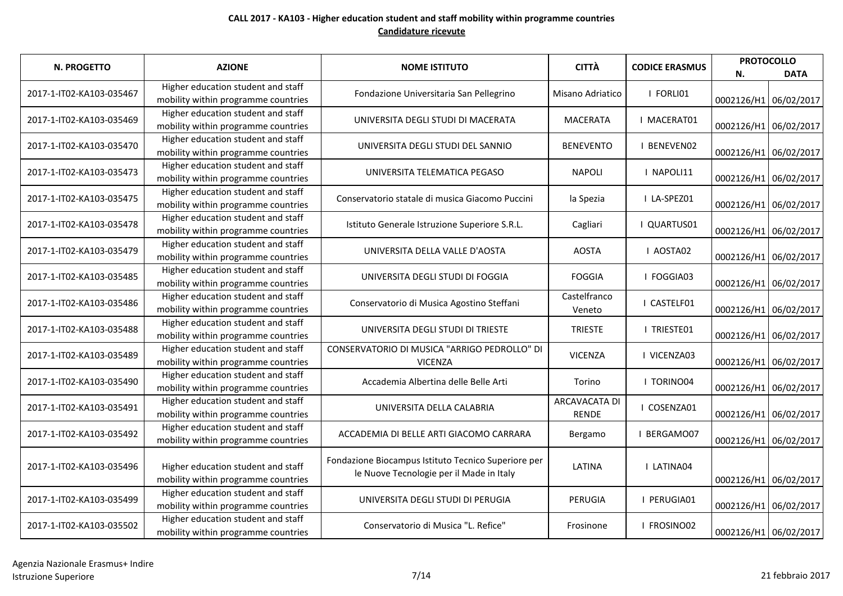| <b>N. PROGETTO</b>       | <b>AZIONE</b>                                                             | <b>NOME ISTITUTO</b>                                                                            | <b>CITTÀ</b>                         | <b>CODICE ERASMUS</b> |                       | <b>PROTOCOLLO</b>     |
|--------------------------|---------------------------------------------------------------------------|-------------------------------------------------------------------------------------------------|--------------------------------------|-----------------------|-----------------------|-----------------------|
| 2017-1-IT02-KA103-035467 | Higher education student and staff                                        |                                                                                                 |                                      | I FORLI01             | Ν.                    | <b>DATA</b>           |
|                          | mobility within programme countries                                       | Fondazione Universitaria San Pellegrino                                                         | Misano Adriatico                     |                       |                       | 0002126/H1 06/02/2017 |
| 2017-1-IT02-KA103-035469 | Higher education student and staff<br>mobility within programme countries | UNIVERSITA DEGLI STUDI DI MACERATA                                                              | <b>MACERATA</b>                      | I MACERAT01           | 0002126/H1 06/02/2017 |                       |
| 2017-1-IT02-KA103-035470 | Higher education student and staff<br>mobility within programme countries | UNIVERSITA DEGLI STUDI DEL SANNIO                                                               | <b>BENEVENTO</b>                     | <b>I BENEVENO2</b>    | 0002126/H1 06/02/2017 |                       |
| 2017-1-IT02-KA103-035473 | Higher education student and staff<br>mobility within programme countries | UNIVERSITA TELEMATICA PEGASO                                                                    | <b>NAPOLI</b>                        | I NAPOLI11            |                       | 0002126/H1 06/02/2017 |
| 2017-1-IT02-KA103-035475 | Higher education student and staff<br>mobility within programme countries | Conservatorio statale di musica Giacomo Puccini                                                 | la Spezia                            | I LA-SPEZ01           | 0002126/H1 06/02/2017 |                       |
| 2017-1-IT02-KA103-035478 | Higher education student and staff<br>mobility within programme countries | Istituto Generale Istruzione Superiore S.R.L.                                                   | Cagliari                             | I QUARTUS01           | 0002126/H1 06/02/2017 |                       |
| 2017-1-IT02-KA103-035479 | Higher education student and staff<br>mobility within programme countries | UNIVERSITA DELLA VALLE D'AOSTA                                                                  | <b>AOSTA</b>                         | I AOSTA02             | 0002126/H1 06/02/2017 |                       |
| 2017-1-IT02-KA103-035485 | Higher education student and staff<br>mobility within programme countries | UNIVERSITA DEGLI STUDI DI FOGGIA                                                                | <b>FOGGIA</b>                        | I FOGGIA03            | 0002126/H1 06/02/2017 |                       |
| 2017-1-IT02-KA103-035486 | Higher education student and staff<br>mobility within programme countries | Conservatorio di Musica Agostino Steffani                                                       | Castelfranco<br>Veneto               | I CASTELF01           | 0002126/H1 06/02/2017 |                       |
| 2017-1-IT02-KA103-035488 | Higher education student and staff<br>mobility within programme countries | UNIVERSITA DEGLI STUDI DI TRIESTE                                                               | <b>TRIESTE</b>                       | <b>I TRIESTE01</b>    | 0002126/H1 06/02/2017 |                       |
| 2017-1-IT02-KA103-035489 | Higher education student and staff<br>mobility within programme countries | CONSERVATORIO DI MUSICA "ARRIGO PEDROLLO" DI<br><b>VICENZA</b>                                  | <b>VICENZA</b>                       | I VICENZA03           | 0002126/H1 06/02/2017 |                       |
| 2017-1-IT02-KA103-035490 | Higher education student and staff<br>mobility within programme countries | Accademia Albertina delle Belle Arti                                                            | Torino                               | <b>I TORINO04</b>     | 0002126/H1 06/02/2017 |                       |
| 2017-1-IT02-KA103-035491 | Higher education student and staff<br>mobility within programme countries | UNIVERSITA DELLA CALABRIA                                                                       | <b>ARCAVACATA DI</b><br><b>RENDE</b> | I COSENZA01           | 0002126/H1 06/02/2017 |                       |
| 2017-1-IT02-KA103-035492 | Higher education student and staff<br>mobility within programme countries | ACCADEMIA DI BELLE ARTI GIACOMO CARRARA                                                         | Bergamo                              | I BERGAMO07           | 0002126/H1 06/02/2017 |                       |
| 2017-1-IT02-KA103-035496 | Higher education student and staff<br>mobility within programme countries | Fondazione Biocampus Istituto Tecnico Superiore per<br>le Nuove Tecnologie per il Made in Italy | LATINA                               | <b>I LATINA04</b>     | 0002126/H1 06/02/2017 |                       |
| 2017-1-IT02-KA103-035499 | Higher education student and staff<br>mobility within programme countries | UNIVERSITA DEGLI STUDI DI PERUGIA                                                               | PERUGIA                              | I PERUGIA01           | 0002126/H1 06/02/2017 |                       |
| 2017-1-IT02-KA103-035502 | Higher education student and staff<br>mobility within programme countries | Conservatorio di Musica "L. Refice"                                                             | Frosinone                            | I FROSINO02           | 0002126/H1 06/02/2017 |                       |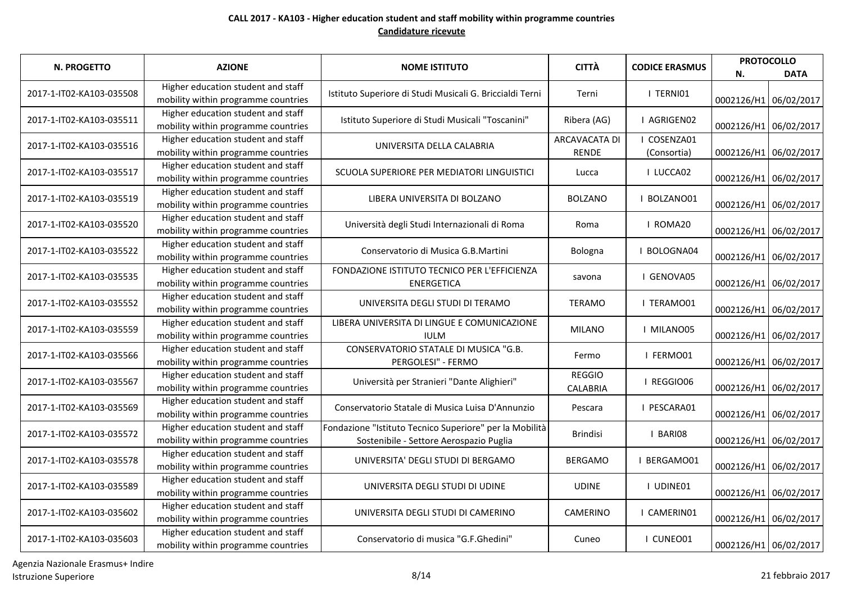| N. PROGETTO              | <b>AZIONE</b>                                                             | <b>NOME ISTITUTO</b>                                                                               | <b>CITTÀ</b>                         | <b>CODICE ERASMUS</b>      | N.                    | <b>PROTOCOLLO</b><br><b>DATA</b> |
|--------------------------|---------------------------------------------------------------------------|----------------------------------------------------------------------------------------------------|--------------------------------------|----------------------------|-----------------------|----------------------------------|
| 2017-1-IT02-KA103-035508 | Higher education student and staff<br>mobility within programme countries | Istituto Superiore di Studi Musicali G. Briccialdi Terni                                           | Terni                                | I TERNIO1                  |                       | 0002126/H1 06/02/2017            |
| 2017-1-IT02-KA103-035511 | Higher education student and staff<br>mobility within programme countries | Istituto Superiore di Studi Musicali "Toscanini"                                                   | Ribera (AG)                          | I AGRIGEN02                |                       | 0002126/H1 06/02/2017            |
| 2017-1-IT02-KA103-035516 | Higher education student and staff<br>mobility within programme countries | UNIVERSITA DELLA CALABRIA                                                                          | <b>ARCAVACATA DI</b><br><b>RENDE</b> | I COSENZA01<br>(Consortia) |                       | 0002126/H1 06/02/2017            |
| 2017-1-IT02-KA103-035517 | Higher education student and staff<br>mobility within programme countries | SCUOLA SUPERIORE PER MEDIATORI LINGUISTICI                                                         | Lucca                                | I LUCCA02                  |                       | 0002126/H1 06/02/2017            |
| 2017-1-IT02-KA103-035519 | Higher education student and staff<br>mobility within programme countries | LIBERA UNIVERSITA DI BOLZANO                                                                       | <b>BOLZANO</b>                       | I BOLZANO01                |                       | 0002126/H1 06/02/2017            |
| 2017-1-IT02-KA103-035520 | Higher education student and staff<br>mobility within programme countries | Università degli Studi Internazionali di Roma                                                      | Roma                                 | I ROMA20                   |                       | 0002126/H1 06/02/2017            |
| 2017-1-IT02-KA103-035522 | Higher education student and staff<br>mobility within programme countries | Conservatorio di Musica G.B.Martini                                                                | Bologna                              | BOLOGNA04                  |                       | 0002126/H1 06/02/2017            |
| 2017-1-IT02-KA103-035535 | Higher education student and staff<br>mobility within programme countries | FONDAZIONE ISTITUTO TECNICO PER L'EFFICIENZA<br><b>ENERGETICA</b>                                  | savona                               | I GENOVA05                 |                       | 0002126/H1 06/02/2017            |
| 2017-1-IT02-KA103-035552 | Higher education student and staff<br>mobility within programme countries | UNIVERSITA DEGLI STUDI DI TERAMO                                                                   | <b>TERAMO</b>                        | I TERAMO01                 |                       | 0002126/H1 06/02/2017            |
| 2017-1-IT02-KA103-035559 | Higher education student and staff<br>mobility within programme countries | LIBERA UNIVERSITA DI LINGUE E COMUNICAZIONE<br><b>IULM</b>                                         | <b>MILANO</b>                        | I MILANO05                 | 0002126/H1 06/02/2017 |                                  |
| 2017-1-IT02-KA103-035566 | Higher education student and staff<br>mobility within programme countries | CONSERVATORIO STATALE DI MUSICA "G.B.<br>PERGOLESI" - FERMO                                        | Fermo                                | I FERMO01                  | 0002126/H1 06/02/2017 |                                  |
| 2017-1-IT02-KA103-035567 | Higher education student and staff<br>mobility within programme countries | Università per Stranieri "Dante Alighieri"                                                         | <b>REGGIO</b><br><b>CALABRIA</b>     | I REGGIO06                 | 0002126/H1 06/02/2017 |                                  |
| 2017-1-IT02-KA103-035569 | Higher education student and staff<br>mobility within programme countries | Conservatorio Statale di Musica Luisa D'Annunzio                                                   | Pescara                              | I PESCARA01                |                       | 0002126/H1 06/02/2017            |
| 2017-1-IT02-KA103-035572 | Higher education student and staff<br>mobility within programme countries | Fondazione "Istituto Tecnico Superiore" per la Mobilità<br>Sostenibile - Settore Aerospazio Puglia | <b>Brindisi</b>                      | I BARIO8                   |                       | 0002126/H1 06/02/2017            |
| 2017-1-IT02-KA103-035578 | Higher education student and staff<br>mobility within programme countries | UNIVERSITA' DEGLI STUDI DI BERGAMO                                                                 | <b>BERGAMO</b>                       | I BERGAMO01                |                       | 0002126/H1 06/02/2017            |
| 2017-1-IT02-KA103-035589 | Higher education student and staff<br>mobility within programme countries | UNIVERSITA DEGLI STUDI DI UDINE                                                                    | <b>UDINE</b>                         | I UDINE01                  |                       | 0002126/H1 06/02/2017            |
| 2017-1-IT02-KA103-035602 | Higher education student and staff<br>mobility within programme countries | UNIVERSITA DEGLI STUDI DI CAMERINO                                                                 | CAMERINO                             | I CAMERIN01                | 0002126/H1 06/02/2017 |                                  |
| 2017-1-IT02-KA103-035603 | Higher education student and staff<br>mobility within programme countries | Conservatorio di musica "G.F.Ghedini"                                                              | Cuneo                                | I CUNEO01                  | 0002126/H1 06/02/2017 |                                  |

Agenzia Nazionale Erasmus+ Indire Istruzione Superiore 2017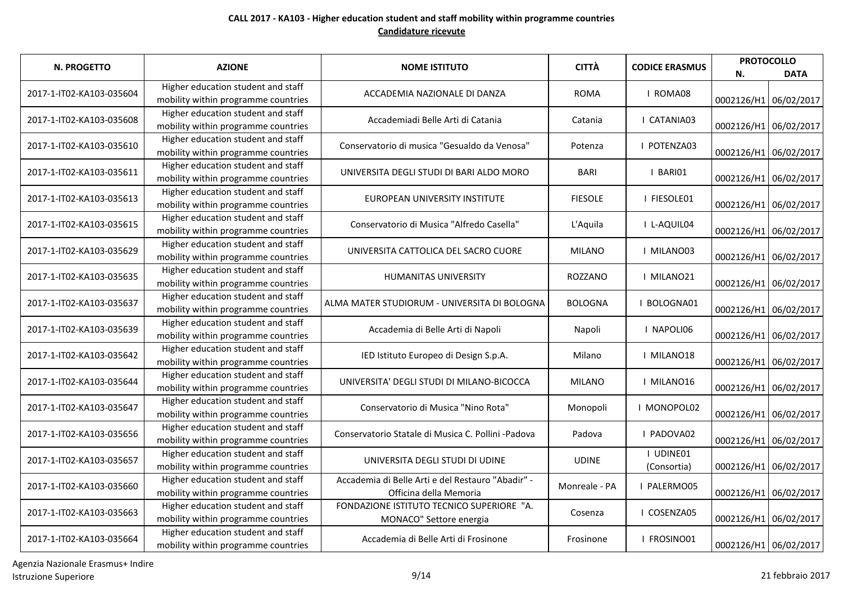| N. PROGETTO              | <b>AZIONE</b>                                                             | <b>NOME ISTITUTO</b>                                                        | <b>CITTÀ</b>   | <b>CODICE ERASMUS</b>    | <b>PROTOCOLLO</b><br>Ν. | <b>DATA</b>           |
|--------------------------|---------------------------------------------------------------------------|-----------------------------------------------------------------------------|----------------|--------------------------|-------------------------|-----------------------|
| 2017-1-IT02-KA103-035604 | Higher education student and staff<br>mobility within programme countries | ACCADEMIA NAZIONALE DI DANZA                                                | <b>ROMA</b>    | I ROMA08                 | 0002126/H1 06/02/2017   |                       |
| 2017-1-IT02-KA103-035608 | Higher education student and staff<br>mobility within programme countries | Accademiadi Belle Arti di Catania                                           | Catania        | I CATANIA03              |                         | 0002126/H1 06/02/2017 |
| 2017-1-IT02-KA103-035610 | Higher education student and staff<br>mobility within programme countries | Conservatorio di musica "Gesualdo da Venosa"                                | Potenza        | I POTENZA03              | 0002126/H1 06/02/2017   |                       |
| 2017-1-IT02-KA103-035611 | Higher education student and staff<br>mobility within programme countries | UNIVERSITA DEGLI STUDI DI BARI ALDO MORO                                    | <b>BARI</b>    | I BARIO1                 | 0002126/H1 06/02/2017   |                       |
| 2017-1-IT02-KA103-035613 | Higher education student and staff<br>mobility within programme countries | EUROPEAN UNIVERSITY INSTITUTE                                               | <b>FIESOLE</b> | I FIESOLE01              | 0002126/H1 06/02/2017   |                       |
| 2017-1-IT02-KA103-035615 | Higher education student and staff<br>mobility within programme countries | Conservatorio di Musica "Alfredo Casella"                                   | L'Aquila       | I L-AQUIL04              | 0002126/H1 06/02/2017   |                       |
| 2017-1-IT02-KA103-035629 | Higher education student and staff<br>mobility within programme countries | UNIVERSITA CATTOLICA DEL SACRO CUORE                                        | <b>MILANO</b>  | I MILANO03               | 0002126/H1 06/02/2017   |                       |
| 2017-1-IT02-KA103-035635 | Higher education student and staff<br>mobility within programme countries | <b>HUMANITAS UNIVERSITY</b>                                                 | ROZZANO        | I MILANO21               | 0002126/H1 06/02/2017   |                       |
| 2017-1-IT02-KA103-035637 | Higher education student and staff<br>mobility within programme countries | ALMA MATER STUDIORUM - UNIVERSITA DI BOLOGNA                                | <b>BOLOGNA</b> | I BOLOGNA01              | 0002126/H1 06/02/2017   |                       |
| 2017-1-IT02-KA103-035639 | Higher education student and staff<br>mobility within programme countries | Accademia di Belle Arti di Napoli                                           | Napoli         | I NAPOLI06               | 0002126/H1 06/02/2017   |                       |
| 2017-1-IT02-KA103-035642 | Higher education student and staff<br>mobility within programme countries | IED Istituto Europeo di Design S.p.A.                                       | Milano         | I MILANO18               | 0002126/H1 06/02/2017   |                       |
| 2017-1-IT02-KA103-035644 | Higher education student and staff<br>mobility within programme countries | UNIVERSITA' DEGLI STUDI DI MILANO-BICOCCA                                   | <b>MILANO</b>  | I MILANO16               | 0002126/H1 06/02/2017   |                       |
| 2017-1-IT02-KA103-035647 | Higher education student and staff<br>mobility within programme countries | Conservatorio di Musica "Nino Rota"                                         | Monopoli       | I MONOPOL02              | 0002126/H1 06/02/2017   |                       |
| 2017-1-IT02-KA103-035656 | Higher education student and staff<br>mobility within programme countries | Conservatorio Statale di Musica C. Pollini -Padova                          | Padova         | I PADOVA02               | 0002126/H1 06/02/2017   |                       |
| 2017-1-IT02-KA103-035657 | Higher education student and staff<br>mobility within programme countries | UNIVERSITA DEGLI STUDI DI UDINE                                             | <b>UDINE</b>   | I UDINE01<br>(Consortia) | 0002126/H1 06/02/2017   |                       |
| 2017-1-IT02-KA103-035660 | Higher education student and staff<br>mobility within programme countries | Accademia di Belle Arti e del Restauro "Abadir" -<br>Officina della Memoria | Monreale - PA  | I PALERMO05              | 0002126/H1 06/02/2017   |                       |
| 2017-1-IT02-KA103-035663 | Higher education student and staff<br>mobility within programme countries | FONDAZIONE ISTITUTO TECNICO SUPERIORE "A.<br>MONACO" Settore energia        | Cosenza        | I COSENZA05              | 0002126/H1 06/02/2017   |                       |
| 2017-1-IT02-KA103-035664 | Higher education student and staff<br>mobility within programme countries | Accademia di Belle Arti di Frosinone                                        | Frosinone      | I FROSINO01              | 0002126/H1 06/02/2017   |                       |

Agenzia Nazionale Erasmus+ Indire Istruzione Superiore 9/14 21 febbraio 2017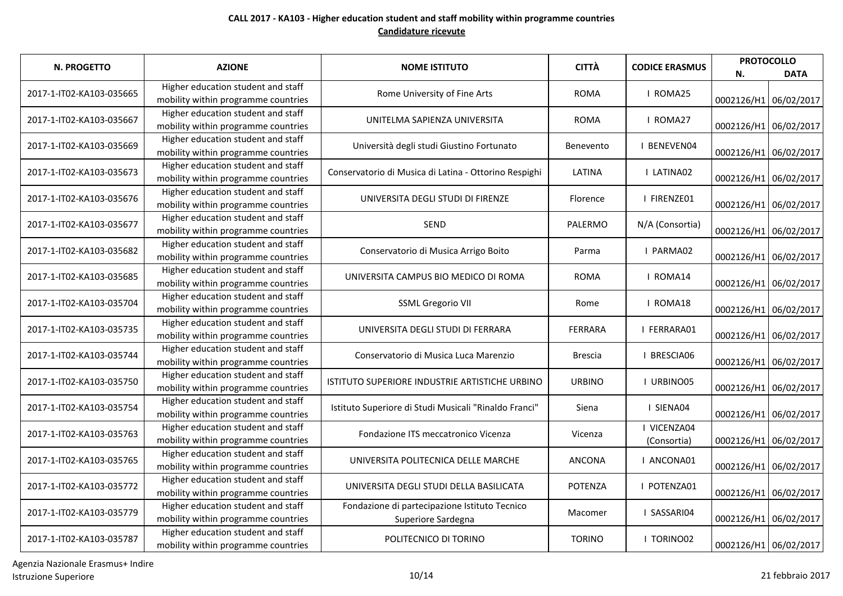| N. PROGETTO              | <b>AZIONE</b>                                                             | <b>NOME ISTITUTO</b>                                                | <b>CITTÀ</b>   | <b>CODICE ERASMUS</b>      | N.                    | <b>PROTOCOLLO</b><br><b>DATA</b> |
|--------------------------|---------------------------------------------------------------------------|---------------------------------------------------------------------|----------------|----------------------------|-----------------------|----------------------------------|
| 2017-1-IT02-KA103-035665 | Higher education student and staff<br>mobility within programme countries | Rome University of Fine Arts                                        | <b>ROMA</b>    | I ROMA25                   |                       | 0002126/H1 06/02/2017            |
| 2017-1-IT02-KA103-035667 | Higher education student and staff<br>mobility within programme countries | UNITELMA SAPIENZA UNIVERSITA                                        | <b>ROMA</b>    | I ROMA27                   |                       | 0002126/H1 06/02/2017            |
| 2017-1-IT02-KA103-035669 | Higher education student and staff<br>mobility within programme countries | Università degli studi Giustino Fortunato                           | Benevento      | <b>I BENEVEN04</b>         |                       | 0002126/H1 06/02/2017            |
| 2017-1-IT02-KA103-035673 | Higher education student and staff<br>mobility within programme countries | Conservatorio di Musica di Latina - Ottorino Respighi               | LATINA         | I LATINA02                 |                       | 0002126/H1 06/02/2017            |
| 2017-1-IT02-KA103-035676 | Higher education student and staff<br>mobility within programme countries | UNIVERSITA DEGLI STUDI DI FIRENZE                                   | Florence       | I FIRENZE01                |                       | 0002126/H1 06/02/2017            |
| 2017-1-IT02-KA103-035677 | Higher education student and staff<br>mobility within programme countries | SEND                                                                | PALERMO        | N/A (Consortia)            |                       | 0002126/H1 06/02/2017            |
| 2017-1-IT02-KA103-035682 | Higher education student and staff<br>mobility within programme countries | Conservatorio di Musica Arrigo Boito                                | Parma          | I PARMA02                  |                       | 0002126/H1 06/02/2017            |
| 2017-1-IT02-KA103-035685 | Higher education student and staff<br>mobility within programme countries | UNIVERSITA CAMPUS BIO MEDICO DI ROMA                                | <b>ROMA</b>    | I ROMA14                   | 0002126/H1 06/02/2017 |                                  |
| 2017-1-IT02-KA103-035704 | Higher education student and staff<br>mobility within programme countries | <b>SSML Gregorio VII</b>                                            | Rome           | I ROMA18                   | 0002126/H1 06/02/2017 |                                  |
| 2017-1-IT02-KA103-035735 | Higher education student and staff<br>mobility within programme countries | UNIVERSITA DEGLI STUDI DI FERRARA                                   | <b>FERRARA</b> | I FERRARA01                | 0002126/H1 06/02/2017 |                                  |
| 2017-1-IT02-KA103-035744 | Higher education student and staff<br>mobility within programme countries | Conservatorio di Musica Luca Marenzio                               | <b>Brescia</b> | I BRESCIA06                |                       | 0002126/H1 06/02/2017            |
| 2017-1-IT02-KA103-035750 | Higher education student and staff<br>mobility within programme countries | ISTITUTO SUPERIORE INDUSTRIE ARTISTICHE URBINO                      | <b>URBINO</b>  | I URBINO05                 |                       | 0002126/H1 06/02/2017            |
| 2017-1-IT02-KA103-035754 | Higher education student and staff<br>mobility within programme countries | Istituto Superiore di Studi Musicali "Rinaldo Franci"               | Siena          | I SIENA04                  |                       | 0002126/H1 06/02/2017            |
| 2017-1-IT02-KA103-035763 | Higher education student and staff<br>mobility within programme countries | Fondazione ITS meccatronico Vicenza                                 | Vicenza        | I VICENZA04<br>(Consortia) | 0002126/H1 06/02/2017 |                                  |
| 2017-1-IT02-KA103-035765 | Higher education student and staff<br>mobility within programme countries | UNIVERSITA POLITECNICA DELLE MARCHE                                 | ANCONA         | I ANCONA01                 | 0002126/H1 06/02/2017 |                                  |
| 2017-1-IT02-KA103-035772 | Higher education student and staff<br>mobility within programme countries | UNIVERSITA DEGLI STUDI DELLA BASILICATA                             | <b>POTENZA</b> | I POTENZA01                |                       | 0002126/H1 06/02/2017            |
| 2017-1-IT02-KA103-035779 | Higher education student and staff<br>mobility within programme countries | Fondazione di partecipazione Istituto Tecnico<br>Superiore Sardegna | Macomer        | I SASSARI04                |                       | 0002126/H1 06/02/2017            |
| 2017-1-IT02-KA103-035787 | Higher education student and staff<br>mobility within programme countries | POLITECNICO DI TORINO                                               | <b>TORINO</b>  | I TORINO02                 | 0002126/H1 06/02/2017 |                                  |

Agenzia Nazionale Erasmus+ Indire Istruzione Superiore 10/14 21 febbraio 2017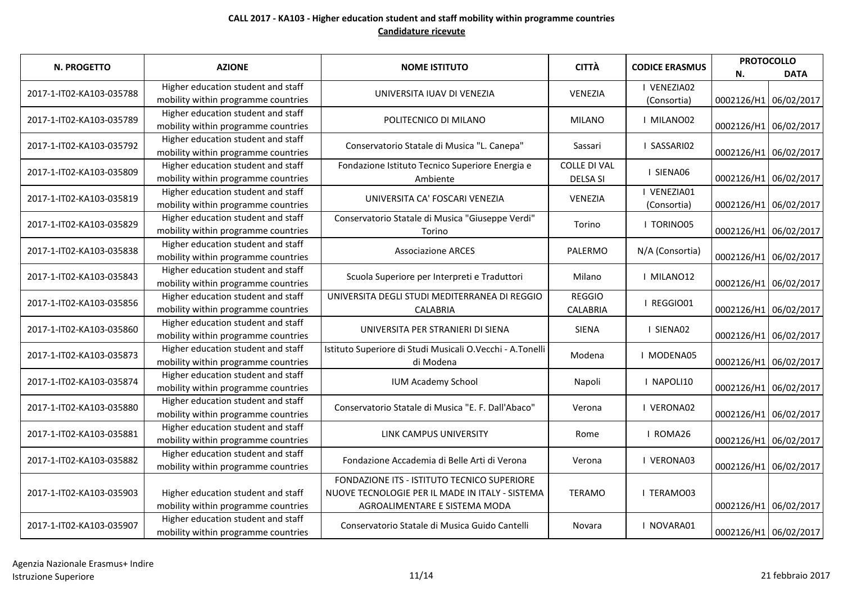| N. PROGETTO              | <b>AZIONE</b>                                                             | <b>NOME ISTITUTO</b>                                                                                                            | <b>CITTÀ</b>                           | <b>CODICE ERASMUS</b>      | N.                    | <b>PROTOCOLLO</b><br><b>DATA</b> |
|--------------------------|---------------------------------------------------------------------------|---------------------------------------------------------------------------------------------------------------------------------|----------------------------------------|----------------------------|-----------------------|----------------------------------|
| 2017-1-IT02-KA103-035788 | Higher education student and staff<br>mobility within programme countries | UNIVERSITA IUAV DI VENEZIA                                                                                                      | VENEZIA                                | I VENEZIA02<br>(Consortia) | 0002126/H1 06/02/2017 |                                  |
| 2017-1-IT02-KA103-035789 | Higher education student and staff<br>mobility within programme countries | POLITECNICO DI MILANO                                                                                                           | <b>MILANO</b>                          | I MILANO02                 | 0002126/H1 06/02/2017 |                                  |
| 2017-1-IT02-KA103-035792 | Higher education student and staff<br>mobility within programme countries | Conservatorio Statale di Musica "L. Canepa"                                                                                     | Sassari                                | I SASSARIO2                | 0002126/H1 06/02/2017 |                                  |
| 2017-1-IT02-KA103-035809 | Higher education student and staff<br>mobility within programme countries | Fondazione Istituto Tecnico Superiore Energia e<br>Ambiente                                                                     | <b>COLLE DI VAL</b><br><b>DELSA SI</b> | I SIENA06                  | 0002126/H1 06/02/2017 |                                  |
| 2017-1-IT02-KA103-035819 | Higher education student and staff<br>mobility within programme countries | UNIVERSITA CA' FOSCARI VENEZIA                                                                                                  | VENEZIA                                | I VENEZIA01<br>(Consortia) | 0002126/H1 06/02/2017 |                                  |
| 2017-1-IT02-KA103-035829 | Higher education student and staff<br>mobility within programme countries | Conservatorio Statale di Musica "Giuseppe Verdi"<br>Torino                                                                      | Torino                                 | I TORINO05                 | 0002126/H1 06/02/2017 |                                  |
| 2017-1-IT02-KA103-035838 | Higher education student and staff<br>mobility within programme countries | <b>Associazione ARCES</b>                                                                                                       | PALERMO                                | N/A (Consortia)            | 0002126/H1 06/02/2017 |                                  |
| 2017-1-IT02-KA103-035843 | Higher education student and staff<br>mobility within programme countries | Scuola Superiore per Interpreti e Traduttori                                                                                    | Milano                                 | I MILANO12                 | 0002126/H1 06/02/2017 |                                  |
| 2017-1-IT02-KA103-035856 | Higher education student and staff<br>mobility within programme countries | UNIVERSITA DEGLI STUDI MEDITERRANEA DI REGGIO<br><b>CALABRIA</b>                                                                | <b>REGGIO</b><br><b>CALABRIA</b>       | I REGGIO01                 | 0002126/H1 06/02/2017 |                                  |
| 2017-1-IT02-KA103-035860 | Higher education student and staff<br>mobility within programme countries | UNIVERSITA PER STRANIERI DI SIENA                                                                                               | <b>SIENA</b>                           | I SIENA02                  | 0002126/H1 06/02/2017 |                                  |
| 2017-1-IT02-KA103-035873 | Higher education student and staff<br>mobility within programme countries | Istituto Superiore di Studi Musicali O.Vecchi - A.Tonelli<br>di Modena                                                          | Modena                                 | I MODENA05                 | 0002126/H1 06/02/2017 |                                  |
| 2017-1-IT02-KA103-035874 | Higher education student and staff<br>mobility within programme countries | <b>IUM Academy School</b>                                                                                                       | Napoli                                 | I NAPOLI10                 | 0002126/H1 06/02/2017 |                                  |
| 2017-1-IT02-KA103-035880 | Higher education student and staff<br>mobility within programme countries | Conservatorio Statale di Musica "E. F. Dall'Abaco"                                                                              | Verona                                 | I VERONA02                 | 0002126/H1 06/02/2017 |                                  |
| 2017-1-IT02-KA103-035881 | Higher education student and staff<br>mobility within programme countries | LINK CAMPUS UNIVERSITY                                                                                                          | Rome                                   | I ROMA26                   | 0002126/H1 06/02/2017 |                                  |
| 2017-1-IT02-KA103-035882 | Higher education student and staff<br>mobility within programme countries | Fondazione Accademia di Belle Arti di Verona                                                                                    | Verona                                 | I VERONA03                 | 0002126/H1 06/02/2017 |                                  |
| 2017-1-IT02-KA103-035903 | Higher education student and staff<br>mobility within programme countries | FONDAZIONE ITS - ISTITUTO TECNICO SUPERIORE<br>NUOVE TECNOLOGIE PER IL MADE IN ITALY - SISTEMA<br>AGROALIMENTARE E SISTEMA MODA | <b>TERAMO</b>                          | <b>I TERAMO03</b>          | 0002126/H1 06/02/2017 |                                  |
| 2017-1-IT02-KA103-035907 | Higher education student and staff<br>mobility within programme countries | Conservatorio Statale di Musica Guido Cantelli                                                                                  | Novara                                 | I NOVARA01                 | 0002126/H1 06/02/2017 |                                  |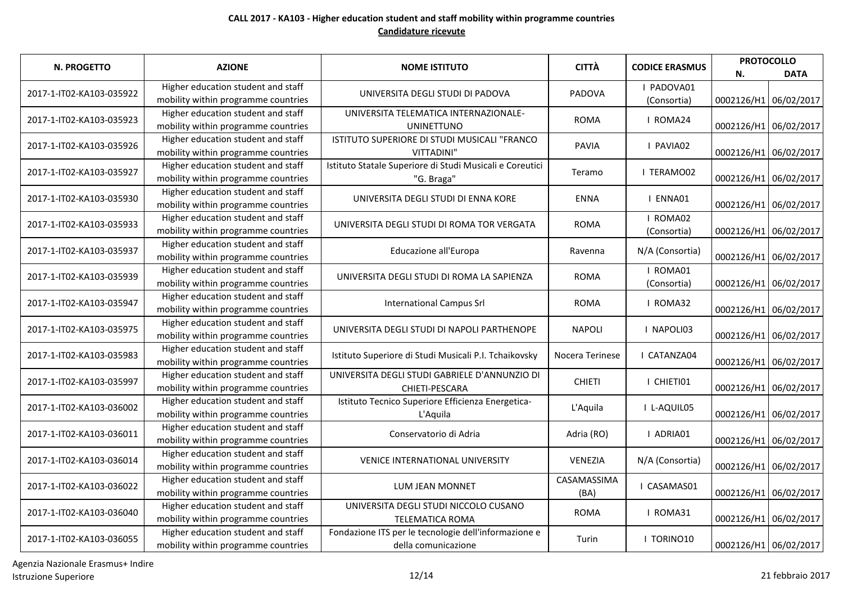| N. PROGETTO              | <b>AZIONE</b>                       | <b>NOME ISTITUTO</b>                                     | <b>CITTÀ</b>    | <b>CODICE ERASMUS</b> | <b>PROTOCOLLO</b>     |                       |
|--------------------------|-------------------------------------|----------------------------------------------------------|-----------------|-----------------------|-----------------------|-----------------------|
|                          |                                     |                                                          |                 |                       | N.                    | <b>DATA</b>           |
| 2017-1-IT02-KA103-035922 | Higher education student and staff  | UNIVERSITA DEGLI STUDI DI PADOVA                         | PADOVA          | I PADOVA01            |                       |                       |
|                          | mobility within programme countries |                                                          |                 | (Consortia)           |                       | 0002126/H1 06/02/2017 |
| 2017-1-IT02-KA103-035923 | Higher education student and staff  | UNIVERSITA TELEMATICA INTERNAZIONALE-                    | <b>ROMA</b>     | I ROMA24              |                       |                       |
|                          | mobility within programme countries | <b>UNINETTUNO</b>                                        |                 |                       |                       | 0002126/H1 06/02/2017 |
| 2017-1-IT02-KA103-035926 | Higher education student and staff  | ISTITUTO SUPERIORE DI STUDI MUSICALI "FRANCO             | <b>PAVIA</b>    | I PAVIA02             |                       |                       |
|                          | mobility within programme countries | VITTADINI"                                               |                 |                       |                       | 0002126/H1 06/02/2017 |
| 2017-1-IT02-KA103-035927 | Higher education student and staff  | Istituto Statale Superiore di Studi Musicali e Coreutici | Teramo          | I TERAMO02            |                       |                       |
|                          | mobility within programme countries | "G. Braga"                                               |                 |                       |                       | 0002126/H1 06/02/2017 |
| 2017-1-IT02-KA103-035930 | Higher education student and staff  | UNIVERSITA DEGLI STUDI DI ENNA KORE                      | <b>ENNA</b>     | I ENNA01              |                       |                       |
|                          | mobility within programme countries |                                                          |                 |                       | 0002126/H1 06/02/2017 |                       |
| 2017-1-IT02-KA103-035933 | Higher education student and staff  | UNIVERSITA DEGLI STUDI DI ROMA TOR VERGATA               | <b>ROMA</b>     | I ROMA02              |                       |                       |
|                          | mobility within programme countries |                                                          |                 | (Consortia)           | 0002126/H1 06/02/2017 |                       |
| 2017-1-IT02-KA103-035937 | Higher education student and staff  | Educazione all'Europa                                    | Ravenna         | N/A (Consortia)       |                       |                       |
|                          | mobility within programme countries |                                                          |                 |                       | 0002126/H1 06/02/2017 |                       |
| 2017-1-IT02-KA103-035939 | Higher education student and staff  | UNIVERSITA DEGLI STUDI DI ROMA LA SAPIENZA               | <b>ROMA</b>     | I ROMA01              |                       |                       |
|                          | mobility within programme countries |                                                          |                 | (Consortia)           | 0002126/H1 06/02/2017 |                       |
| 2017-1-IT02-KA103-035947 | Higher education student and staff  | <b>International Campus Srl</b>                          | <b>ROMA</b>     | I ROMA32              |                       |                       |
|                          | mobility within programme countries |                                                          |                 |                       | 0002126/H1 06/02/2017 |                       |
| 2017-1-IT02-KA103-035975 | Higher education student and staff  | UNIVERSITA DEGLI STUDI DI NAPOLI PARTHENOPE              | <b>NAPOLI</b>   | I NAPOLI03            |                       |                       |
|                          | mobility within programme countries |                                                          |                 |                       | 0002126/H1 06/02/2017 |                       |
| 2017-1-IT02-KA103-035983 | Higher education student and staff  | Istituto Superiore di Studi Musicali P.I. Tchaikovsky    | Nocera Terinese | I CATANZA04           |                       |                       |
|                          | mobility within programme countries |                                                          |                 |                       | 0002126/H1 06/02/2017 |                       |
| 2017-1-IT02-KA103-035997 | Higher education student and staff  | UNIVERSITA DEGLI STUDI GABRIELE D'ANNUNZIO DI            | <b>CHIETI</b>   | I CHIETI01            |                       |                       |
|                          | mobility within programme countries | CHIETI-PESCARA                                           |                 |                       | 0002126/H1 06/02/2017 |                       |
| 2017-1-IT02-KA103-036002 | Higher education student and staff  | Istituto Tecnico Superiore Efficienza Energetica-        | L'Aquila        | I L-AQUIL05           |                       |                       |
|                          | mobility within programme countries | L'Aquila                                                 |                 |                       |                       | 0002126/H1 06/02/2017 |
| 2017-1-IT02-KA103-036011 | Higher education student and staff  | Conservatorio di Adria                                   | Adria (RO)      | I ADRIA01             |                       |                       |
|                          | mobility within programme countries |                                                          |                 |                       |                       | 0002126/H1 06/02/2017 |
| 2017-1-IT02-KA103-036014 | Higher education student and staff  | VENICE INTERNATIONAL UNIVERSITY                          | VENEZIA         | N/A (Consortia)       |                       |                       |
|                          | mobility within programme countries |                                                          |                 |                       |                       | 0002126/H1 06/02/2017 |
| 2017-1-IT02-KA103-036022 | Higher education student and staff  | LUM JEAN MONNET                                          | CASAMASSIMA     | I CASAMAS01           |                       |                       |
|                          | mobility within programme countries |                                                          | (BA)            |                       |                       | 0002126/H1 06/02/2017 |
| 2017-1-IT02-KA103-036040 | Higher education student and staff  | UNIVERSITA DEGLI STUDI NICCOLO CUSANO                    | <b>ROMA</b>     | I ROMA31              |                       |                       |
|                          | mobility within programme countries | <b>TELEMATICA ROMA</b>                                   |                 |                       | 0002126/H1 06/02/2017 |                       |
|                          | Higher education student and staff  | Fondazione ITS per le tecnologie dell'informazione e     | Turin           | I TORINO10            |                       |                       |
| 2017-1-IT02-KA103-036055 | mobility within programme countries | della comunicazione                                      |                 |                       | 0002126/H1 06/02/2017 |                       |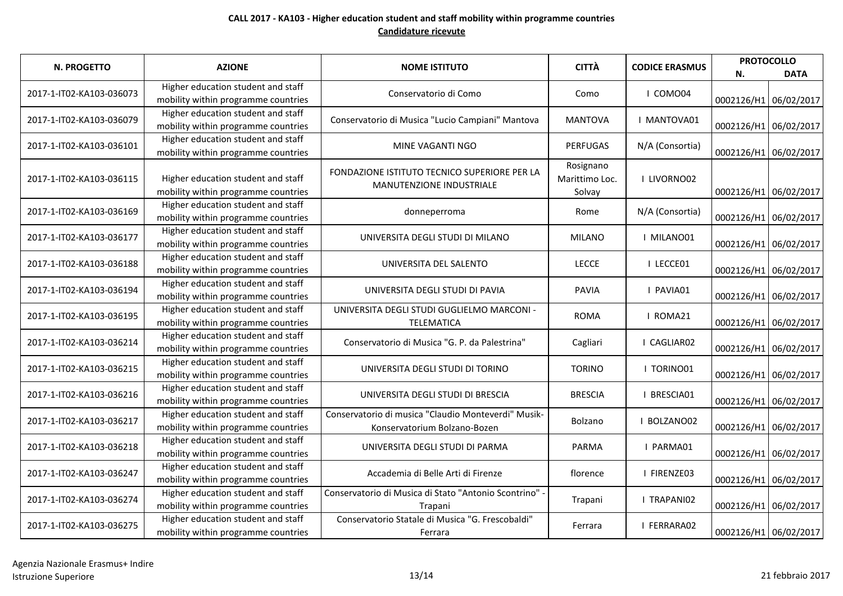| N. PROGETTO              | <b>AZIONE</b>                                                             | <b>NOME ISTITUTO</b>                                                                | <b>CITTÀ</b>                          | <b>CODICE ERASMUS</b> | <b>PROTOCOLLO</b><br><b>DATA</b><br>N. |  |
|--------------------------|---------------------------------------------------------------------------|-------------------------------------------------------------------------------------|---------------------------------------|-----------------------|----------------------------------------|--|
| 2017-1-IT02-KA103-036073 | Higher education student and staff<br>mobility within programme countries | Conservatorio di Como                                                               | Como                                  | I COMO04              | 0002126/H1 06/02/2017                  |  |
| 2017-1-IT02-KA103-036079 | Higher education student and staff<br>mobility within programme countries | Conservatorio di Musica "Lucio Campiani" Mantova                                    | <b>MANTOVA</b>                        | I MANTOVA01           | 0002126/H1 06/02/2017                  |  |
| 2017-1-IT02-KA103-036101 | Higher education student and staff<br>mobility within programme countries | MINE VAGANTI NGO                                                                    | <b>PERFUGAS</b>                       | N/A (Consortia)       | 0002126/H1 06/02/2017                  |  |
| 2017-1-IT02-KA103-036115 | Higher education student and staff<br>mobility within programme countries | FONDAZIONE ISTITUTO TECNICO SUPERIORE PER LA<br>MANUTENZIONE INDUSTRIALE            | Rosignano<br>Marittimo Loc.<br>Solvay | I LIVORNO02           | 0002126/H1 06/02/2017                  |  |
| 2017-1-IT02-KA103-036169 | Higher education student and staff<br>mobility within programme countries | donneperroma                                                                        | Rome                                  | N/A (Consortia)       | 0002126/H1 06/02/2017                  |  |
| 2017-1-IT02-KA103-036177 | Higher education student and staff<br>mobility within programme countries | UNIVERSITA DEGLI STUDI DI MILANO                                                    | <b>MILANO</b>                         | I MILANO01            | 0002126/H1 06/02/2017                  |  |
| 2017-1-IT02-KA103-036188 | Higher education student and staff<br>mobility within programme countries | UNIVERSITA DEL SALENTO                                                              | <b>LECCE</b>                          | I LECCE01             | 0002126/H1 06/02/2017                  |  |
| 2017-1-IT02-KA103-036194 | Higher education student and staff<br>mobility within programme countries | UNIVERSITA DEGLI STUDI DI PAVIA                                                     | <b>PAVIA</b>                          | I PAVIA01             | 0002126/H1 06/02/2017                  |  |
| 2017-1-IT02-KA103-036195 | Higher education student and staff<br>mobility within programme countries | UNIVERSITA DEGLI STUDI GUGLIELMO MARCONI -<br>TELEMATICA                            | <b>ROMA</b>                           | I ROMA21              | 0002126/H1 06/02/2017                  |  |
| 2017-1-IT02-KA103-036214 | Higher education student and staff<br>mobility within programme countries | Conservatorio di Musica "G. P. da Palestrina"                                       | Cagliari                              | I CAGLIAR02           | 0002126/H1 06/02/2017                  |  |
| 2017-1-IT02-KA103-036215 | Higher education student and staff<br>mobility within programme countries | UNIVERSITA DEGLI STUDI DI TORINO                                                    | <b>TORINO</b>                         | I TORINO01            | 0002126/H1 06/02/2017                  |  |
| 2017-1-IT02-KA103-036216 | Higher education student and staff<br>mobility within programme countries | UNIVERSITA DEGLI STUDI DI BRESCIA                                                   | <b>BRESCIA</b>                        | I BRESCIA01           | 0002126/H1 06/02/2017                  |  |
| 2017-1-IT02-KA103-036217 | Higher education student and staff<br>mobility within programme countries | Conservatorio di musica "Claudio Monteverdi" Musik-<br>Konservatorium Bolzano-Bozen | <b>Bolzano</b>                        | I BOLZANO02           | 0002126/H1 06/02/2017                  |  |
| 2017-1-IT02-KA103-036218 | Higher education student and staff<br>mobility within programme countries | UNIVERSITA DEGLI STUDI DI PARMA                                                     | <b>PARMA</b>                          | I PARMA01             | 0002126/H1 06/02/2017                  |  |
| 2017-1-IT02-KA103-036247 | Higher education student and staff<br>mobility within programme countries | Accademia di Belle Arti di Firenze                                                  | florence                              | I FIRENZE03           | 0002126/H1 06/02/2017                  |  |
| 2017-1-IT02-KA103-036274 | Higher education student and staff<br>mobility within programme countries | Conservatorio di Musica di Stato "Antonio Scontrino" -<br>Trapani                   | Trapani                               | I TRAPANI02           | 0002126/H1 06/02/2017                  |  |
| 2017-1-IT02-KA103-036275 | Higher education student and staff<br>mobility within programme countries | Conservatorio Statale di Musica "G. Frescobaldi"<br>Ferrara                         | Ferrara                               | I FERRARA02           | 0002126/H1 06/02/2017                  |  |